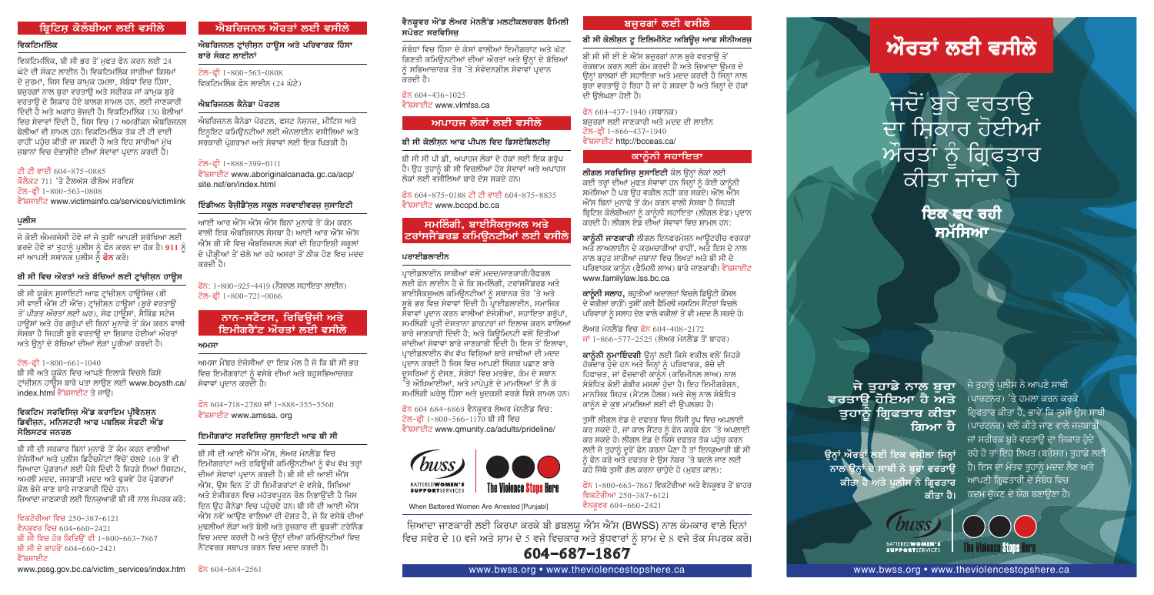# ਬਿਟਿਸ ਕੋਲੰਬੀਆ ਲਈ ਵਸੀਲੇ

# ਵਿਕਟਿਮਲਿੰਕ

ਵਿਕਟਿਮਲਿੰਕ, ਬੀ ਸੀ ਭਰ ਤੋਂ ਮਫਤ ਫੋਨ ਕਰਨ ਲਈ 24 ਘੰਟੇ ਦੀ ਸੰਕਟ ਲਾਈਨ ਹੈ। ਵਿਕਟਿਮਲਿੰਕ ਸਾਰੀਆਂ ਕਿਸਮਾਂ ਦੇ ਜਰਮਾਂ, ਜਿਸ ਵਿਚ ਕਾਮਕ ਹਮਲਾ, ਸੰਬੰਧਾਂ ਵਿਚ ਹਿੰਸਾ, ਬਜਰਗਾਂ ਨਾਲ ਬਰਾ ਵਰਤਾਓ ਅਤੇ ਸਰੀਰਕ ਜਾਂ ਕਾਮਕ ਬਰੇ ਵਰਤਾੳ ਦੇ ਸਿਕਾਰ ਹੋਏ ਬਾਲਗ ਸਾਮਲ ਹਨ. ਲਈ ਜਾਣਕਾਰੀ ਦਿੰਦੀ ਹੈ ਅਤੇ ਅਗਾਂਹ ਭੇਜਦੀ ਹੈ। ਵਿਕਟਿਮਲਿੰਕ 130 ਬੋਲੀਆਂ ਵਿਚ ਸੇਵਾਵਾਂ ਦਿੰਦੀ ਹੈ, ਜਿਸ ਵਿਚ 17 ਅਮਰੀਕਨ ਐਬਰਿਜਨਲ ਬੋਲੀਆਂ ਵੀ ਸ਼ਾਮਲ ਹਨ। ਵਿਕਟਿਮਲਿੰਕ ਤੱਕ ਟੀ ਟੀ ਵਾਈ ਰਾਹੀਂ ਪਹੁੰਚ ਕੀਤੀ ਜਾ ਸਕਦੀ ਹੈ ਅਤੇ ਇਹ ਸਾਰੀਆਂ ਮੱਖ ਜਬਾਨਾਂ ਵਿਚ ਦੋਭਾਸੀਏ ਦੀਆਂ ਸੇਵਾਵਾਂ ਪਦਾਨ ਕਰਦੀ ਹੈ।

ਟੀ ਟੀ ਵਾਈ 604-875-0885 ਕੋਲੈਕਟ 711 'ਤੇ ਟੈਲਅੱਸ ਰੀਲੇਅ ਸਰਵਿਸ ਟੋਲ-ਫੀ 1-800-563-0808

ਵੈੱਬਸਾਈਟ www.victimsinfo.ca/services/victimlink

# ਪਲੀਸ

ਜੇ ਕੋਈ ਐਮਰਜੰਸੀ ਹੋਵੇ ਜਾਂ ਜੇ ਤਸੀਂ ਆਪਣੀ ਸਰੱਖਿਆ ਲਈ ਡਰਦੇ ਹੋਵੋ ਤਾਂ ਤੁਹਾਨੂੰ ਪੁਲੀਸ ਨੂੰ ਫੋਨ ਕਰਨ ਦਾ ਹੱਕ ਹੈ। 911 ਨੂੰ ਜਾਂ ਆਪਣੀ ਸਥਾਨਕ ਪੁਲੀਸ ਨੂੰ **ਫੋਨ** ਕਰੋ।

# ਬੀ ਸੀ ਵਿਚ ਔਰਤਾਂ ਅਤੇ ਬੱਚਿਆਂ ਲਈ ਟ੍ਰਾਂਜੀਸਨ ਹਾਊਸ

ਬੀ ਸੀ ਯਕੋਨ ਸਸਾਇਟੀ ਆਫ ਟਾਂਜੀਸਨ ਹਾੳਸਿਜ਼ (ਬੀ ਸੀ ਵਾਈ ਐੱਸ ਟੀ ਐੱਚ) ਟਾਂਜੀਸਨ ਹਾੳਸਾਂ (ਬਰੇ ਵਰਤਾੳ *ਤੋਂ ਪੀੜਤ ਔਰਤਾਂ ਲਈ ਘਰ)*, ਸੇਫ ਹਾਊਂਸਾਂ, ਸੈਕਿੰਡ ਸਟੇਜ ਹਾੳਸਾਂ ਅਤੇ ਹੋਰ ਗਰੱਪਾਂ ਦੀ ਬਿਨਾਂ ਮਨਾੌਫੇ ਤੋਂ ਕੰਮ ਕਰਨ ਵਾਲੀ ਸੰਸਥਾ ਹੈ ਜਿਹੜੀ ਬਰੇ ਵਰਤਾੳ ਦਾ ਸ਼ਿਕਾਰ ਹੋਈਆਂ ਔਰਤਾਂ ਅਤੇ ਉਨ੍ਹਾਂ ਦੇ ਬੱਚਿਆਂ ਦੀਆਂ ਲੋੜਾਂ ਪਰੀਆਂ ਕਰਦੀ ਹੈ।

#### <u>ਟੋਲ-ਫ਼ੀ 1-800-661-1040</u>

ਬੀ ਸੀ ਅਤੇ ਯਕੋਨ ਵਿਚ ਆਪਣੇ ਇਲਾਕੇ ਵਿਚਲੇ ਕਿਸੇ ਟ੍ਰਾਂਜੀਸਨ ਹਾਊਸ ਬਾਰੇ ਪਤਾ ਲਾਉਣ ਲਈ www.bcysth.ca/ index.html ਵੈੱਬਸਾਈਟ ਤੇ ਜਾੳ।

#### ਵਿਕਟਿਮ ਸਰਵਿਸਿਜ ਐਂਡ ਕਰਾਇਮ ਪੀਵੈਨਸਨ ਡਿਵੀਜਨ. ਮਨਿਸਟਰੀ ਆਫ ਪਬਲਿਕ ਸੇਫਟੀ ਐਂਡ ਸੋਲਿਸਟਰ ਜਨਰਲ

ਬੀ ਸੀ ਦੀ ਸਰਕਾਰ ਬਿਨਾਂ ਮਨਾਫੇ ਤੋਂ ਕੰਮ ਕਰਨ ਵਾਲੀਆਂ ਏਜੰਸੀਆਂ ਅਤੇ ਪਲੀਸ ਡਿਟੈਚਮੈਂਟਾਂ ਵਿੱਚੋਂ ਚੱਲਦੇ 160 ਤੋਂ ਵੀ ਜਿਆਦਾ ਪੋਗਰਾਮਾਂ ਲਈ ਪੈਸੇ ਦਿੰਦੀ ਹੈ ਜਿਹੜੇ ਨਿਆਂ ਸਿਸਟਮ. ਅਮਲੀ ਮਦਦ. ਜਜਬਾਤੀ ਮਦਦ ਅਤੇ ਢਕਵੇਂ ਹੋਰ ਪੋਗਰਾਮਾਂ ਕੋਲ ਭੇਜੇ ਜਾਣ ਬਾਰੇ ਜਾਣਕਾਰੀ ਦਿੰਦੇ ਹਨ। ਜ਼ਿਆਦਾ ਜਾਣਕਾਰੀ ਲਈ ਇਨਕਆਰੀ ਬੀ ਸੀ ਨਾਲ ਸੰਪਰਕ ਕਰੋ:

ਵਿਕਟੋਰੀਆ ਵਿਚ 250-387-6121 ਵੈਨਕਵਰ ਵਿਚ 604-660-2421 ਬੀ ਸੀ ਵਿਚ ਹੋਰ ਕਿਤਿੳਂ ਵੀ 1-800-663-7867 ਬੀ ਸੀ ਦੇ ਬਾਹਰੋਂ 604-660-2421 ਵੈੱਬਸਾਈਟ

### ਐਬਰਿਜਨਲ ਔਰਤਾਂ ਲਈ ਵਸੀਲੇ

ਐਬਰਿਜਨਲ ਟ੍ਰਾਂਜੀਸ਼ਨ ਹਾਊਸ ਅਤੇ ਪਰਿਵਾਰਕ ਹਿੰਸਾ ਬਾਰੇ ਸੈਕਟ ਲਾਈਨਾਂ

ਟੋਲ-ਫੀ 1-800-563-0808 ਵਿਕਟਿਮਲਿੰਕ ਫੋਨ ਲਾਈਨ (24 ਘੰਟੇ)

# ਐਬਰਿਜਨਲ ਕੈਨੇਡਾ ਪੋਰਟਲ

ਐਬਰਿਜਨਲ ਕੈਨੇਡਾ ਪੋਰਟਲ, ਫਸਟ ਨੇਸਨਜ, ਮੀਟਿਸ ਅਤੇ ਇਨਇਟ ਕਮਿਊਨਟੀਆਂ ਲਈ ਔਨਲਾਈਨ ਵਸੀਲਿਆਂ ਅਤੇ ਸਰਕਾਰੀ ਪੋਗਰਾਮਾਂ ਅਤੇ ਸੇਵਾਵਾਂ ਲਈ ਇਕ ਖਿੜਕੀ ਹੈ।

#### ਟੋਲ-ਫੀ 1-888-399-0111

ਵੈੱਬਸਾਈਟ www.aboriginalcanada.gc.ca/acp/ site.nsf/en/index.html

#### ਇੰਡੀਅਨ ਰੈਜੀਡੈਂਸਲ ਸਕੂਲ ਸਰਵਾਈਵਰਜ਼ ਸੁਸਾਇਟੀ

ਆਈ ਆਰ ਐੱਸ ਐੱਸ ਐੱਸ ਬਿਨਾਂ ਮਨਾਫੇ ਤੋਂ ਕੰਮ ਕਰਨ ਵਾਲੀ ਇਕ ਐਬਰਿਜਨਲ ਸੰਸਥਾ ਹੈ। ਆਈ ਆਰ ਐੱਸ ਐੱਸ ਐੱਸ ਬੀ ਸੀ ਵਿਚ ਐਬਰਿਜਨਲ ਲੋਕਾਂ ਦੀ ਰਿਹਾਇਸ਼ੀ ਸਕਲਾਂ ਦੇ ਪੀੜੀਆਂ ਤੋਂ ਚੱਲੇ ਆ ਰਹੇ ਅਸਰਾਂ ਤੋਂ ਠੀਕ ਹੋਣ ਵਿਚ ਮਦਦ ਕਰਦੀ ਹੈ।

ਫੋਨ: 1-800-925-4419 (ਨੈਸਨਲ ਸਹਾਇਤਾ ਲਾਈਨ) ਟੋਲ-ਫੀ 1-800-721-0066

# ਨਾਨ–ਸਟੈਟਸ, ਰਿਫਿਊਜੀ ਅਤੇ ਇਮੀਗਰੈਂਟ ਔਰਤਾਂ ਲਈ ਵਸੀਲੇ

 $MHTT$ 

ਅਮਸਾ ਮੈਂਬਰ ਏਜੰਸੀਆਂ ਦਾ ਇਕ ਮੇਲ ਹੈ ਜੋ ਕਿ ਬੀ ਸੀ ਭਰ ਵਿਚ ਇਮੀਗਰਾਂਟਾਂ ਨੂੰ ਵਸੇਬੇ ਦੀਆਂ ਅਤੇ ਬਹਸਭਿਆਚਰਕ ਸੇਵਾਵਾਂ ਪਦਾਨ ਕਰਦੀ ਹੈ।

ਫੋਨ 604-718-2780 ਜਾਂ 1-888-355-5560 ਵੈੱਬਸਾਈਟ www.amssa.org

#### ਇਮੀਗਰਾਂਟ ਸਰਵਿਸਿਜ ਸਸਾਇਟੀ ਆਫ ਬੀ ਸੀ

ਬੀ ਸੀ ਦੀ ਆਈ ਐੱਸ ਐੱਸ. ਲੋਅਰ ਮੇਨਲੈਂਡ ਵਿਚ ਇਮੀਗਰਾਂਟਾਂ ਅਤੇ ਰਫਿਊਜੀ ਕਮਿਊਨਟੀਆਂ ਨੂੰ ਵੱਖ ਵੱਖ ਤਰ੍ਹਾਂ ਦੀਆਂ ਸੇਵਾਵਾਂ ਪ੍ਰਦਾਨ ਕਰਦੀ ਹੈ। ਬੀ ਸੀ ਦੀ ਆਈ ਐੱਸ ਐੱਸ, ੳਸ ਦਿਨ ਤੋਂ ਹੀ ਇਮੀਗਰਾਂਟਾਂ ਦੇ ਵਸੇਬੇ, ਸਿਖਿਆ ਅਤੇ ਏਕੀਕਰਨ ਵਿਚ ਮਹੱਤਵਪੂਰਨ ਰੋਲ ਨਿਭਾਉਂਦੀ ਹੈ ਜਿਸ ਦਿਨ ੳਹ ਕੈਨੇਡਾ ਵਿਚ ਪਹੁੰਚਦੇ ਹਨ। ਬੀ ਸੀ ਦੀ ਆਈ ਐੱਸ ਐੱਸ ਨਵੇਂ ਆੳਣ ਵਾਲਿਆਂ ਦੀ ਦੋਸਤ ਹੈ, ਜੋ ਕਿ ਵਸੇਬੇ ਦੀਆਂ ਮਢਲੀਆਂ ਲੋੜਾਂ ਅਤੇ ਬੋਲੀ ਅਤੇ ਰਜਗਾਰ ਦੀ ਢਕਵੀਂ ਟਰੇਨਿੰਗ ਵਿਚ ਮਦਦ ਕਰਦੀ ਹੈ ਅਤੇ ਉਨਾਂ ਦੀਆਂ ਕਮਿਊਨਟੀਆਂ ਵਿਚ ਨੈੱਟਵਰਕ ਸਥਾਪਤ ਕਰਨ ਵਿਚ ਮਦਦ ਕਰਦੀ ਹੈ।

#### ਵੈਨਕੁਵਰ ਐਂਡ ਲੋਅਰ ਮੇਨਲੈਂਡ ਮਲਟੀਕਲਚਰਲ ਫੈਮਿਲੀ ਸਪੋਰਟ ਸਰਵਿਸਿਜ

ਸੰਬੰਧਾਂ ਵਿਚ ਹਿੰਸਾ ਦੇ ਕੇਸਾਂ ਵਾਲੀਆਂ ਇਮੀਗਰਾਂਟ ਅਤੇ ਘੱਟ ਗਿਣਤੀ ਕਮਿਊਨਟੀਆਂ ਦੀਆਂ ਔਰਤਾਂ ਅਤੇ ਉਨਾਂ ਦੇ ਬੱਚਿਆਂ ਨੂੰ ਸਭਿਆਚਾਰਕ ਤੌਰ 'ਤੇ ਸੰਵੇਦਨਸ਼ੀਲ ਸੇਵਾਵਾਂ ਪ੍ਰਦਾਨ ਕਰਦੀ ਹੈ।

#### ਫ਼ੋਨ 604-436-1025 ਵੈੱਬਸਾਈਟ www.vlmfss.ca

### ਅਪਾਹਜ ਲੋਕਾਂ ਲਈ ਵਸੀਲੇ

#### ਬੀ ਸੀ ਕੋਲੀਸ਼ਨ ਆਫ ਪੀਪਲ ਵਿਦ ਡਿਸਏਬਿਲਟੀਜ

ਬੀ ਸੀ ਸੀ ਪੀ ਡੀ, ਅਪਾਹਜ ਲੋਕਾਂ ਦੇ ਹੱਕਾਂ ਲਈ ਇਕ ਗਰੱਪ ਹੈ। ੳਹ ਤਹਾਨੰ ਬੀ ਸੀ ਵਿਚਲੀਆਂ ਹੋਰ ਸੇਵਾਵਾਂ ਅਤੇ ਅਪਾਹਜ ਲੋਕਾਂ ਲਈ ਵਸੀਲਿਆਂ ਬਾਰੇ ਦੱਸ ਸਕਦੇ ਹਨ।

ਫੋਨ 604-875-0188 ਟੀ ਟੀ ਵਾਈ 604-875-8835 ਵੈੱਬਸਾਈਟ www.bccpd.bc.ca

# , ਸਮਲਿੰਗੀ, ਬਾਈਸੈਕਸੁਅਲ ਅਤੇ<br>ਟਰਾਂਸਜੈਂਡਰਡ ਕਮਿਉਨਟੀਆਂ ਲਈ ਵਸੀਲੇ

#### ਪਰਾਈਡਲਾਈਨ

ਪਾਈਡਲਾਈਨ ਸਾਥੀਆਂ ਵਲੋਂ ਮਦਦ/ਜਾਣਕਾਰੀ/ਰੈਫਰਲ ਲਈ ਫੋਨ ਲਾਈਨ ਹੈ ਜੋ ਕਿ ਸਮਲਿੰਗੀ, ਟਰਾਂਸਜੈਂਡਰਡ ਅਤੇ ਬਾਈਸੈਕਸਅਲ ਕਮਿੳਨਟੀਆਂ ਨੰ ਸਥਾਨਕ ਤੌਰ 'ਤੇ ਅਤੇ ਸਬੇ ਭਰ ਵਿਚ ਸੇਵਾਵਾਂ ਦਿੰਦੀ ਹੈ। ਪਾਈਡਲਾਈਨ, ਸਮਾਜਿਕ ਸੇਵਾਵਾਂ ਪਦਾਨ ਕਰਨ ਵਾਲੀਆਂ ਏਜੰਸੀਆਂ, ਸਹਾਇਤਾ ਗਰੱਪਾਂ, ਸਮਲਿੰਗੀ ਪਤੀ ਦੋਸਤਾਨਾ ਡਾਕਟਰਾਂ ਜਾਂ ਇਲਾਜ ਕਰਨ ਵਾਲਿਆਂ ਬਾਰੇ ਜਾਣਕਾਰੀ ਦਿੰਦੀ ਹੈ: ਅਤੇ ਕਿੳਮਿਨਟੀ ਵਲੋਂ ਦਿੱਤੀਆਂ ਜਾਂਦੀਆਂ ਸੇਵਾਵਾਂ ਬਾਰੇ ਜਾਣਕਾਰੀ ਦਿੰਦੀ ਹੈ। ਇਸ ਤੋਂ ਇਲਾਵਾ. ਪਾਈਡਲਾਈਨ ਵੱਖ ਵੱਖ ਵਿਸਿਆਂ ਬਾਰੇ ਸਾਥੀਆਂ ਦੀ ਮਦਦ ਪਦਾਨ ਕਰਦੀ ਹੈ ਜਿਸ ਵਿਚ ਆਪਣੀ ਲਿੰਗਕ ਪਛਾਣ ਬਾਰੇ ਦੁਸਰਿਆਂ ਨੂੰ ਦੱਸਣ, ਸੰਬੰਧਾਂ ਵਿਚ ਮਤਭੇਦ, ਕੰਮ ਦੇ ਸਥਾਨ <sup>7</sup>ਤੇ ਔਖਿਆਈਆਂ, ਅਤੇ ਮਾਪੇਪਣੇ ਦੇ ਮਾਮਲਿਆਂ ਤੋਂ ਲੈ ਕੇ ਸਮਲਿੰਗੀ ਘਰੇਲ ਹਿੰਸਾ ਅਤੇ ਖਦਕਸੀ ਵਰਗੇ ਵਿਸੇ ਸਾਮਲ ਹਨ।

ਫੋਨ 604 684-6869 ਵੈਨਕੁਵਰ ਲੋਅਰ ਮੇਨਲੈਂਡ ਵਿਚ: ਟੋਲ-ਫ੍ਰੀ 1-800-566-1170 ਬੀ ਸੀ ਵਿਚ ਵੈੱਬਸਾਈਟ www.amunitv.ca/adults/prideline/



When Battered Women Are Arrested [Punjabi]

ਜ਼ਿਆਦਾ ਜਾਣਕਾਰੀ ਲਈ ਕਿਰਪਾ ਕਰਕੇ ਬੀ ਡਬਲਯੂ ਐੱਸ ਐੱਸ (BWSS) ਨਾਲ ਕੰਮਕਾਰ ਵਾਲੇ ਦਿਨਾਂ ਵਿਚ ਸਵੇਰ ਦੇ 10 ਵਜੇ ਅਤੇ ਸ਼ਾਮ ਦੇ 5 ਵਜੇ ਵਿਚਕਾਰ ਅਤੇ ਬੁੱਧਵਾਰਾਂ ਨੂੰ ਸ਼ਾਮ ਦੇ 8 ਵਜੇ ਤੱਕ ਸੰਪਰਕ ਕਰੋ।

604-687-1867

# ਬਜ਼ੁਰਗਾਂ ਲਈ ਵਸੀਲੇ

# ਬੀ ਸੀ ਕੋਲੀਸ਼ਨ ਟੂ ਇਲਿਮੀਨੇਟ ਅਬਿਊਜ਼ ਆਫ ਸੀਨੀਅਰਜ਼

ਬੀ ਸੀ ਸੀ ਈ ਏ ਐੱਸ ਬਜ਼ਰਗਾਂ ਨਾਲ ਬਰੇ ਵਰਤਾੳ ਤੋਂ ਰੋਕਥਾਮ ਕਰਨ ਲਈ ਕੰਮ ਕਰਦੀ ਹੈ ਅਤੇ ਜਿਆਦਾ ੳਮਰ ਦੇ ਉਨ੍ਹਾਂ ਬਾਲਗਾਂ ਦੀ ਸਹਾਇਤਾ ਅਤੇ ਮਦਦ ਕਰਦੀ ਹੈ ਜਿਨ੍ਹਾਂ ਨਾਲ ਬਰਾ ਵਰਤਾੳ ਹੋ ਰਿਹਾ ਹੈ ਜਾਂ ਹੋ ਸਕਦਾ ਹੈ ਅਤੇ ਜਿਨਾਂ ਦੇ ਹੱਕਾਂ ਦੀ ਉਲੰਘਣਾ ਹੋਈ ਹੈ।

ਫੋਨ 604-437-1940 (ਸਥਾਨਕ) ਬਜ਼ਰਗਾਂ ਲਈ ਜਾਣਕਾਰੀ ਅਤੇ ਮਦਦ ਦੀ ਲਾਈਨ ਟੋਲ-ਫੀ 1-866-437-1940 ਵੈੱਬਸਾਈਟ http://bcceas.ca/

# ਕਾਨੰਨੀ ਸਹਾਇਤਾ

ਲੀਗਲ ਸਰਵਿਸਿਜ਼ ਸਸਾਇਟੀ ਕੋਲ ਉਨਾਂ ਲੋਕਾਂ ਲਈ ਕਈ ਤਰ੍ਹਾਂ ਦੀਆਂ ਮਫਤ ਸੇਵਾਵਾਂ ਹਨ ਜਿਨ੍ਹਾਂ ਨੰ ਕੋਈ ਕਾਨੰਨੀ ਸਮੱਸਿਆ ਹੈ ਪਰ ਉਹ ਵਕੀਲ ਨਹੀਂ ਕਰ ਸਕਦੇ। ਐੱਲ ਐੱਸ ਐੱਸ ਬਿਨਾਂ ਮਨਾਫੇ ਤੋਂ ਕੰਮ ਕਰਨ ਵਾਲੀ ਸੈਸਥਾ ਹੈ ਜਿਹੜੀ ਬ੍ਰਿਟਿਸ਼ ਕੋਲੰਬੀਅਨਾਂ ਨੰ ਕਾਨੰਨੀ ਸਹਾਇਤਾ (ਲੀਗਲ ਏਡ) ਪ੍ਰਦਾਨ ਕਰਦੀ ਹੈ। ਲੀਗਲ ਏਡ ਦੀਆਂ ਸੇਵਾਵਾਂ ਵਿਚ ਸ਼ਾਮਲ ਹਨ:

ਕਾਨੂੰਨੀ ਜਾਣਕਾਰੀ ਲੀਗਲ ਇਨਫਰਮੇਸ਼ਨ ਆਉਟਰੀਚ ਵਰਕਰਾਂ ਅਤੇ ਲਾਅਲਾਈਨ ਦੇ ਕਰਮਚਾਰੀਆਂ ਰਾਹੀਂ, ਅਤੇ ਇਸ ਦੇ ਨਾਲ ਨਾਲ ਬਹੁਤ ਸਾਰੀਆਂ ਜਬਾਨਾਂ ਵਿਚ ਲਿਖਤਾਂ ਅਤੇ ਬੀ ਸੀ ਦੇ ਪਰਿਵਾਰਕ ਕਾਨੰਨ (ਫੈਮਿਲੀ ਲਾਅ) ਬਾਰੇ ਜਾਣਕਾਰੀ। ਵੈੱਬਸਾਈਟ www.familylaw.lss.bc.ca

ਕਾਨੂੰਨੀ ਸਲਾਹ, ਬਹਤੀਆਂ ਅਦਾਲਤਾਂ ਵਿਚਲੇ ਡਿੳਟੀ ਕੌਂਸਲ ਦੇ ਵੱਕੀਲਾਂ ਰਾਹੀਂ। ਤਸੀਂ ਕਈ ਫੈਮਿਲੀ ਜਸਟਿਸ ਸੈਂਟਰਾਂ ਵਿਚਲੇ ਪਰਿਵਾਰਾਂ ਨੰ ਸਲਾਹ ਦੇਣ ਵਾਲੇ ਵਕੀਲਾਂ ਤੋਂ ਵੀ ਮਦਦ ਲੈ ਸਕਦੇ ਹੋ।

ਲੋਅਰ ਮੇਨਲੈਂਡ ਵਿਚ ਫੋਨ 604-408-2172 ਜਾਂ 1-866-577-2525 (ਲੋਅਰ ਮੇਨਲੈਂਡ ਤੋਂ ਬਾਹਰ)

ਕਾਨੂੰਨੀ ਨੁਮਾਇੰਦਗੀ ਉਨ੍ਹਾਂ ਲਈ ਕਿਸੇ ਵਕੀਲ ਵਲੋਂ ਜਿਹੜੇ ਹੱਕਦਾਰ ਹੋਦੇ ਹਨ ਅਤੇ ਜਿਨਾਂ ਨੰ ਪਰਿਵਾਰਕ, ਬੱਚੇ ਦੀ ਹਿਫਾਜਤ, ਜਾਂ ਫੌਜਦਾਰੀ ਕਾਨੌਨ (ਕਰਿਮੀਨਲ ਲਾਅ) ਨਾਲ ਸੰਬੰਧਿਤ ਕੋਈ ਗੰਭੀਰ ਮਸਲਾ ਹੁੰਦਾ ਹੈ। ਇਹ ਇਮੀਗਰੇਸ਼ਨ. ਮਾਨਸਿਕ ਸਿਹਤ (ਮੈਂਟਲ ਹੈਲਥ) ਅਤੇ ਜੇਲ ਨਾਲ ਸੰਬੰਧਿਤ ਕਾਨੰਨ ਦੇ ਕੁਝ ਮਾਮਲਿਆਂ ਲਈ ਵੀ ੳਪਲਬਧ ਹੈ।

ਤੁਸੀਂ ਲੀਗਲ ਏਡ ਦੇ ਦਫਤਰ ਵਿਚ ਨਿੱਜੀ ਰੂਪ ਵਿਚ ਅਪਲਾਈ ਕਰ ਸਕਦੇ ਹੋ. ਜਾਂ ਕਾਲ ਸੈਂਟਰ ਨੂੰ ਫੋਨ ਕਰਕੇ ਫੋਨ 'ਤੇ ਅਪਲਾਈ ਕਰ ਸਕਦੇ ਹੋ। ਲੀਗਲ ਏਡ ਦੇ ਕਿਸੇ ਦਫਤਰ ਤੱਕ ਪਹੁੰਚ ਕਰਨ ਲਈ ਜੇ ਤਹਾਨੰ ਦਰੋਂ ਫੋਨ ਕਰਨਾ ਪੈਣਾ ਹੈ ਤਾਂ ਇਨਕਆਰੀ ਬੀ ਸੀ ਨੰ ਫੋਨ ਕਰੋ ਅਤੇ ਦਫਤਰ ਦੇ ਉਸ ਨੰਬਰ 'ਤੇ ਬਦਲੇ ਜਾਣ ਲਈ ਕਹੋ ਜਿੱਥੇ ਤੁਸੀਂ ਗੱਲ ਕਰਨਾ ਚਾਹੁੰਦੇ ਹੋ (ਮੁਫਤ ਕਾਲ):

ਫੋਨ 1-800-663-7867 ਵਿਕਟੋਰੀਆ ਅਤੇ ਵੈਨਕਵਰ ਤੋਂ ਬਾਹਰ ਵਿਕਟੋਰੀਆ 250-387-6121 ਵੈਨਕੂਵਰ 604-660-2421

www.bwss.org • www.theviolencestopshere.ca

www.pssg.gov.bc.ca/victim\_services/index.htm

# ਔਰਤਾਂ ਲਈ ਵਸੀਲੇ

ਜਦੋਂ ਬੁਰੇ ਵਰਤਾਉ ਦਾ ਸ਼ਿਕਾਰ ਹੋਈਆ<u>ਂ</u> ਔਰਤਾਂ ਨੂੰ ਗ੍ਰਿਫਤਾਰ ਕੀਤਾ ਜਾਂਦਾ ਹੈ



ਵਰਤਾੳ ਹੋਇਆ ਹੈ ਅਤੇ |ਤੁਹਾਨੂੰ ਗ੍ਰਿਫਤਾ<u>ਰ ਕੀਤਾ</u> |

ਉਨ੍ਹਾਂ ਔਰਤਾਂ ਲਈ ਇਕ ਵਸੀਲਾ ਜਿਨ੍ਹਾਂ ਨਾਲ ਉਨ੍ਹਾਂ ਦੇ ਸਾਥੀ ਨੇ ਬੁਰਾ ਵਰਤਾਉ<br>ਕੀਤਾ ਹੈ ਅਤੇ ਪੁਲੀਸ ਨੇ ਗ੍ਰਿਫਤਾਰ .<br>ਕੀਤਾ ਹੈ।

। **ਜੇ ਤੁਹਾਡੇ ਨਾਲ ਬਰਾ** ਜੋ ਤੁਹਾਨੂੰ ਪੁਲੀਸ ਨੇ ਆਪਣੇ ਸਾਥੀ (ਪਾਰਟਨਰ) 'ਤੇ ਹਮਲਾ ਕਰਨ ਕਰਕ<u>ੇ</u> ੀਗੁਫਤਾਰ ਕੀਤਾ ਹੈ, ਭਾਵੇਂ ਕਿ ਤੁਸੀਂ ਉਸ ਸਾਥੀ ਗਿਆ ਹੈ <sup>(ਪਾਰਟਨਰ) ਵਲੋਂ ਕੀਤੇ ਜਾਣ ਵਾਲੇ ਜਜ਼ਬਾਤੀ</sup> ਜਾਂ ਸਰੀਰਕ ਬਰੇ ਵਰਤਾੳ ਦਾ ਸਿਕਾਰ ਹੰਦੇ ਾਰਹੇ ਹੋ ਤਾਂ ਇਹ ਲਿਖਤ (ਬਰੋਸ਼ਰ) ਤੁਹਾਡੇ ਲਈ ਹੈ। ਇਸ ਦਾ ਮੰਤਵ ਤਹਾਨੰ ਮਦਦ ਲੈਣ ਅਤੇ ਆਪਣੀ ਗਿਫਤਾਰੀ ਦੇ ਸੰਬੰਧ ਵਿਚ ਕਦਮ ਚੁੱਕਣ ਦੇ ਯੋਗ ਬਣਾਉਣਾ ਹੈ।



www.bwss.org • www.theviolencestopshere.ca